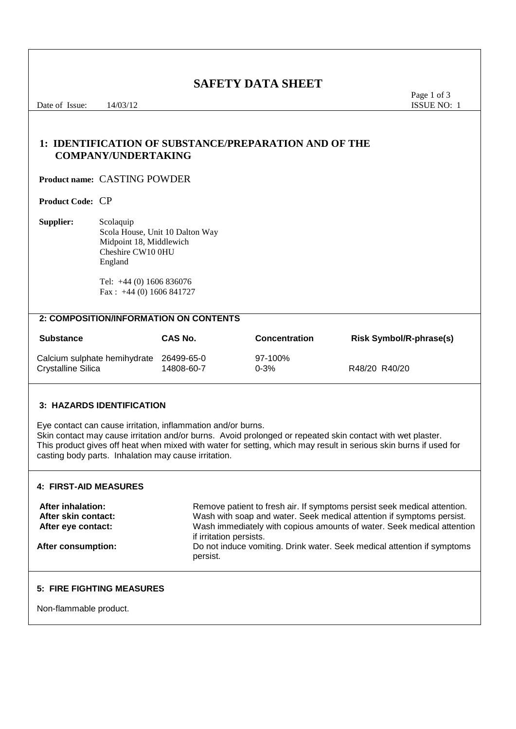**SAFETY DATA SHEET**<br>Page 1 of 3<br>ISSUE NO: 1 Date of Issue: 14/03/12 **ISSUE NO:** 1 **1: IDENTIFICATION OF SUBSTANCE/PREPARATION AND OF THE COMPANY/UNDERTAKING Product name:** CASTING POWDER **Product Code:** CP **Supplier:** Scolaquip Scola House, Unit 10 Dalton Way Midpoint 18, Middlewich Cheshire CW10 0HU England Tel: +44 (0) 1606 836076 Fax : +44 (0) 1606 841727 **2: COMPOSITION/INFORMATION ON CONTENTS Substance CAS No. Concentration Risk Symbol/R-phrase(s)** Calcium sulphate hemihydrate 26499-65-0 97-100%<br>Crystalline Silica 97-100% 14808-60-7 0-3% Crystalline Silica 14808-60-7 0-3% R48/20 R40/20 **3: HAZARDS IDENTIFICATION** Eye contact can cause irritation, inflammation and/or burns. Skin contact may cause irritation and/or burns. Avoid prolonged or repeated skin contact with wet plaster. This product gives off heat when mixed with water for setting, which may result in serious skin burns if used for casting body parts. Inhalation may cause irritation.

## **4: FIRST-AID MEASURES**

After inhalation:<br>**After skin contact:** Remove patient to fresh air. If symptoms persist seek medical attention if symptoms persist. Wash with soap and water. Seek medical attention if symptoms persist. **After eye contact:** Wash immediately with copious amounts of water. Seek medical attention if irritation persists. **After consumption:** Do not induce vomiting. Drink water. Seek medical attention if symptoms persist.

#### **5: FIRE FIGHTING MEASURES**

Non-flammable product.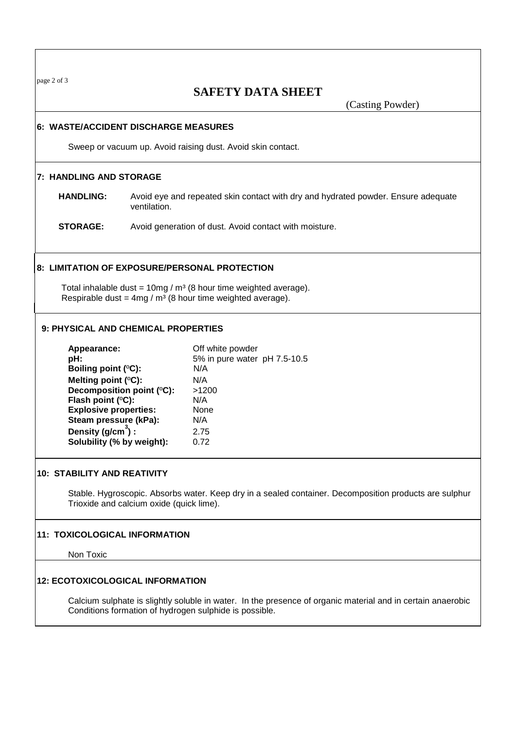page 2 of 3

# **SAFETY DATA SHEET**

(Casting Powder)

#### **6: WASTE/ACCIDENT DISCHARGE MEASURES**

Sweep or vacuum up. Avoid raising dust. Avoid skin contact.

#### **7: HANDLING AND STORAGE**

 **HANDLING:** Avoid eye and repeated skin contact with dry and hydrated powder. Ensure adequate ventilation.

 **STORAGE:** Avoid generation of dust. Avoid contact with moisture.

#### **8: LIMITATION OF EXPOSURE/PERSONAL PROTECTION**

Total inhalable dust =  $10mg/m^3$  (8 hour time weighted average). Respirable dust =  $4mg/m^3$  (8 hour time weighted average).

#### **9: PHYSICAL AND CHEMICAL PROPERTIES**

| Off white powder             |
|------------------------------|
| 5% in pure water pH 7.5-10.5 |
| N/A                          |
| N/A                          |
| >1200                        |
| N/A                          |
| None                         |
| N/A                          |
| 2.75                         |
| 0.72                         |
|                              |

#### **10: STABILITY AND REATIVITY**

Stable. Hygroscopic. Absorbs water. Keep dry in a sealed container. Decomposition products are sulphur Trioxide and calcium oxide (quick lime).

#### **11: TOXICOLOGICAL INFORMATION**

Non Toxic

#### **12: ECOTOXICOLOGICAL INFORMATION**

Calcium sulphate is slightly soluble in water. In the presence of organic material and in certain anaerobic Conditions formation of hydrogen sulphide is possible.